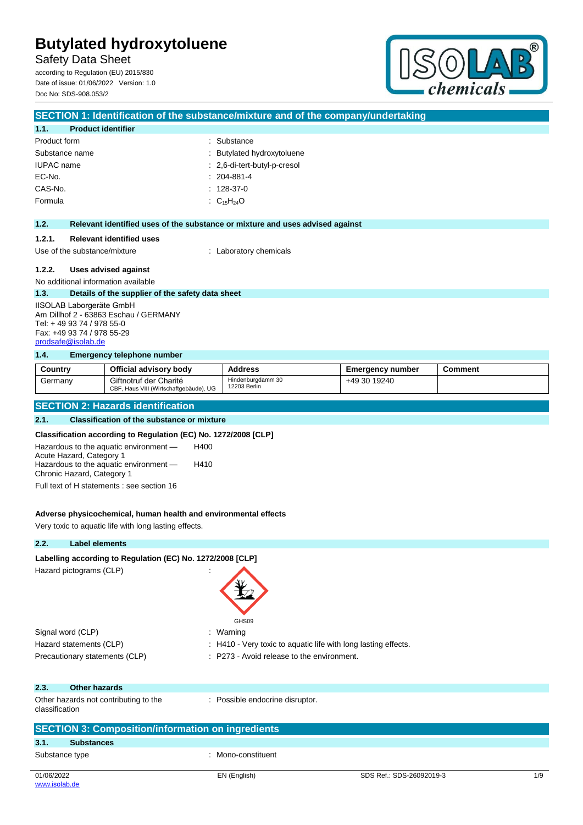Safety Data Sheet according to Regulation (EU) 2015/830

Date of issue: 01/06/2022 Version: 1.0 Doc No: SDS-908.053/2



|                                                |                                                                              | SECTION 1: Identification of the substance/mixture and of the company/undertaking |                         |                |
|------------------------------------------------|------------------------------------------------------------------------------|-----------------------------------------------------------------------------------|-------------------------|----------------|
| <b>Product identifier</b><br>1.1.              |                                                                              |                                                                                   |                         |                |
| Product form                                   |                                                                              | : Substance                                                                       |                         |                |
| Substance name                                 |                                                                              | Butylated hydroxytoluene                                                          |                         |                |
| <b>IUPAC</b> name                              |                                                                              | : 2,6-di-tert-butyl-p-cresol                                                      |                         |                |
| EC-No.                                         |                                                                              | $: 204-881-4$                                                                     |                         |                |
| CAS-No.                                        |                                                                              | $: 128-37-0$                                                                      |                         |                |
| Formula                                        |                                                                              | : $C_{15}H_{24}O$                                                                 |                         |                |
| 1.2.                                           |                                                                              | Relevant identified uses of the substance or mixture and uses advised against     |                         |                |
|                                                |                                                                              |                                                                                   |                         |                |
| 1.2.1.                                         | <b>Relevant identified uses</b>                                              |                                                                                   |                         |                |
| Use of the substance/mixture                   |                                                                              | : Laboratory chemicals                                                            |                         |                |
| 1.2.2.                                         | <b>Uses advised against</b>                                                  |                                                                                   |                         |                |
| No additional information available            |                                                                              |                                                                                   |                         |                |
| 1.3.                                           | Details of the supplier of the safety data sheet                             |                                                                                   |                         |                |
| IISOLAB Laborgeräte GmbH                       |                                                                              |                                                                                   |                         |                |
| Tel: +49 93 74 / 978 55-0                      | Am Dillhof 2 - 63863 Eschau / GERMANY                                        |                                                                                   |                         |                |
| Fax: +49 93 74 / 978 55-29                     |                                                                              |                                                                                   |                         |                |
| prodsafe@isolab.de                             |                                                                              |                                                                                   |                         |                |
| 1.4.                                           | <b>Emergency telephone number</b>                                            |                                                                                   |                         |                |
| Country                                        | Official advisory body                                                       | <b>Address</b>                                                                    | <b>Emergency number</b> | <b>Comment</b> |
| Germany                                        | Giftnotruf der Charité                                                       | Hindenburgdamm 30<br>12203 Berlin                                                 | +49 30 19240            |                |
|                                                | CBF, Haus VIII (Wirtschaftgebäude), UG                                       |                                                                                   |                         |                |
|                                                | <b>SECTION 2: Hazards identification</b>                                     |                                                                                   |                         |                |
| 2.1.                                           | <b>Classification of the substance or mixture</b>                            |                                                                                   |                         |                |
|                                                | Classification according to Regulation (EC) No. 1272/2008 [CLP]              |                                                                                   |                         |                |
| Hazardous to the aquatic environment -<br>H400 |                                                                              |                                                                                   |                         |                |
| Acute Hazard, Category 1                       |                                                                              |                                                                                   |                         |                |
|                                                | Hazardous to the aquatic environment -<br>H410<br>Chronic Hazard, Category 1 |                                                                                   |                         |                |
| Full text of H statements : see section 16     |                                                                              |                                                                                   |                         |                |
|                                                |                                                                              |                                                                                   |                         |                |

## **Adverse physicochemical, human health and environmental effects**

Very toxic to aquatic life with long lasting effects.

## **2.2. Label elements**

# Labelling according to Regulation (EC) No. 1272/2008 [CLP]

Hazard pictograms (CLP) :

| Hazard pictograms (CLP)                                  | GHS09                                                          |                          |     |
|----------------------------------------------------------|----------------------------------------------------------------|--------------------------|-----|
| Signal word (CLP)                                        | : Warning                                                      |                          |     |
| Hazard statements (CLP)                                  | : H410 - Very toxic to aquatic life with long lasting effects. |                          |     |
| Precautionary statements (CLP)                           | : P273 - Avoid release to the environment.                     |                          |     |
| 2.3.<br><b>Other hazards</b>                             |                                                                |                          |     |
| Other hazards not contributing to the<br>classification  | : Possible endocrine disruptor.                                |                          |     |
| <b>SECTION 3: Composition/information on ingredients</b> |                                                                |                          |     |
| 3.1.<br><b>Substances</b>                                |                                                                |                          |     |
| Substance type                                           | : Mono-constituent                                             |                          |     |
| 01/06/2022<br>www.isolab.de                              | EN (English)                                                   | SDS Ref.: SDS-26092019-3 | 1/9 |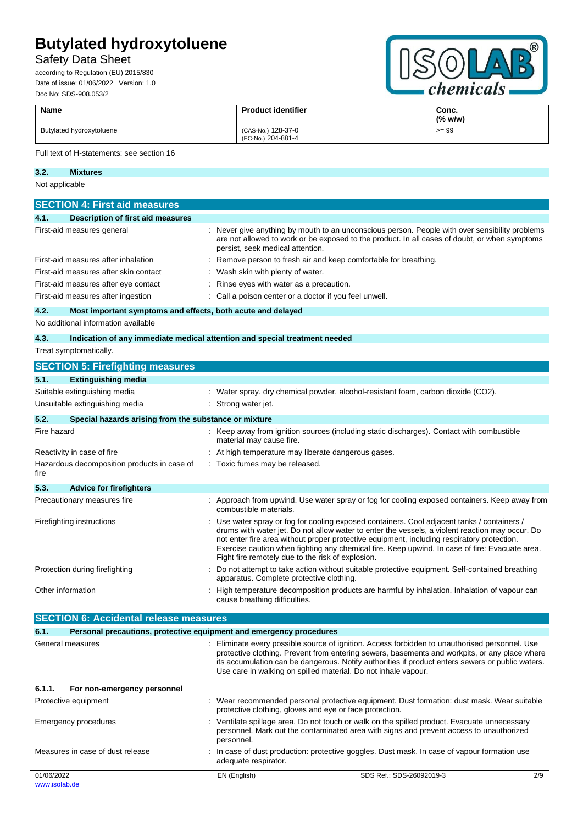# Safety Data Sheet

according to Regulation (EU) 2015/830 Date of issue: 01/06/2022 Version: 1.0 Doc No: SDS-908.053/2



| <b>Name</b>              | <b>Product identifier</b>                | Conc.<br>(% w/w) |
|--------------------------|------------------------------------------|------------------|
| Butylated hydroxytoluene | (CAS-No.) 128-37-0<br>(EC-No.) 204-881-4 | $>= 99$          |

#### Full text of H-statements: see section 16

**3.2. Mixtures**

EN (English) SDS Ref.: SDS-26092019-3 2/9 Not applicable **SECTION 4: First aid measures 4.1. Description of first aid measures** First-aid measures general **interpretent of the state of the state of the state of the state of the state of the state of the state of the state of the state of the state of the state of the state of the state of the state** are not allowed to work or be exposed to the product. In all cases of doubt, or when symptoms persist, seek medical attention. First-aid measures after inhalation : Remove person to fresh air and keep comfortable for breathing. First-aid measures after skin contact : Wash skin with plenty of water. First-aid measures after eye contact : Rinse eyes with water as a precaution. First-aid measures after ingestion : Call a poison center or a doctor if you feel unwell. **4.2. Most important symptoms and effects, both acute and delayed** No additional information available **4.3. Indication of any immediate medical attention and special treatment needed** Treat symptomatically. **SECTION 5: Firefighting measures 5.1. Extinguishing media** Suitable extinguishing media : Water spray. dry chemical powder, alcohol-resistant foam, carbon dioxide (CO2). Unsuitable extinguishing media : Strong water jet. **5.2. Special hazards arising from the substance or mixture** Fire hazard **including the static discussion of the static final static discharges).** Contact with combustible material may cause fire. Reactivity in case of fire **interest and the set of the set of the set of the set of the set of the set of the set of the set of the set of the set of the set of the set of the set of the set of the set of the set of the s** Hazardous decomposition products in case of fire : Toxic fumes may be released. **5.3. Advice for firefighters** Precautionary measures fire : Approach from upwind. Use water spray or fog for cooling exposed containers. Keep away from combustible materials. Firefighting instructions : Use water spray or fog for cooling exposed containers. Cool adjacent tanks / containers / drums with water jet. Do not allow water to enter the vessels, a violent reaction may occur. Do not enter fire area without proper protective equipment, including respiratory protection. Exercise caution when fighting any chemical fire. Keep upwind. In case of fire: Evacuate area. Fight fire remotely due to the risk of explosion. Protection during firefighting  $\qquad \qquad \qquad$ : Do not attempt to take action without suitable protective equipment. Self-contained breathing apparatus. Complete protective clothing. Other information **interval on the Conference** : High temperature decomposition products are harmful by inhalation. Inhalation of vapour can cause breathing difficulties. **SECTION 6: Accidental release measures 6.1. Personal precautions, protective equipment and emergency procedures** General measures status of the status of Eliminate every possible source of ignition. Access forbidden to unauthorised personnel. Use protective clothing. Prevent from entering sewers, basements and workpits, or any place where its accumulation can be dangerous. Notify authorities if product enters sewers or public waters. Use care in walking on spilled material. Do not inhale vapour. **6.1.1. For non-emergency personnel** Protective equipment **interval of the CO** : Wear recommended personal protective equipment. Dust formation: dust mask. Wear suitable protective clothing, gloves and eye or face protection. Emergency procedures **in the spillate spillage area.** Do not touch or walk on the spilled product. Evacuate unnecessary personnel. Mark out the contaminated area with signs and prevent access to unauthorized personnel. Measures in case of dust release : In case of dust production: protective goggles. Dust mask. In case of vapour formation use adequate respirator.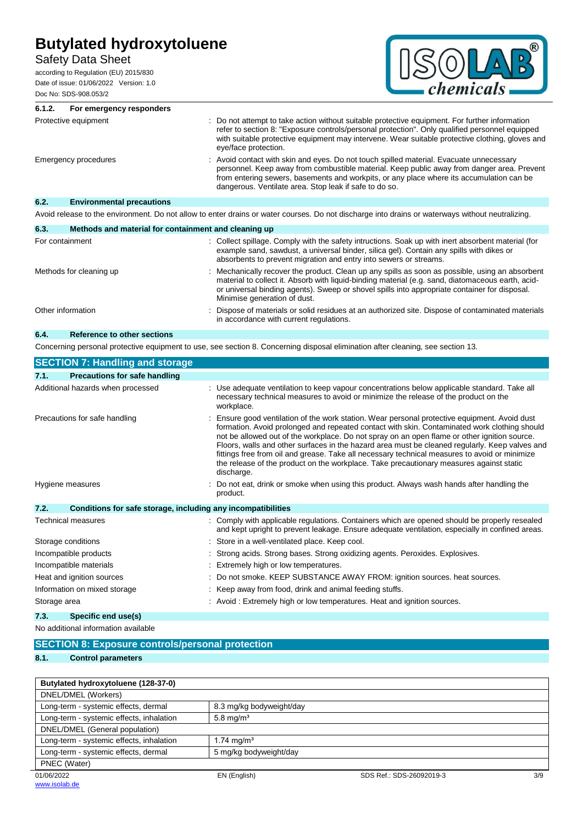# Safety Data Sheet

according to Regulation (EU) 2015/830 Date of issue: 01/06/2022 Version: 1.0 Doc No: SDS-908.053/2



| 6.1.2.<br>For emergency responders       |                                                                                                                                                                                                                                                                                                                                             |
|------------------------------------------|---------------------------------------------------------------------------------------------------------------------------------------------------------------------------------------------------------------------------------------------------------------------------------------------------------------------------------------------|
| Protective equipment                     | Do not attempt to take action without suitable protective equipment. For further information<br>refer to section 8: "Exposure controls/personal protection". Only qualified personnel equipped<br>with suitable protective equipment may intervene. Wear suitable protective clothing, gloves and<br>eye/face protection.                   |
| Emergency procedures                     | : Avoid contact with skin and eyes. Do not touch spilled material. Evacuate unnecessary<br>personnel. Keep away from combustible material. Keep public away from danger area. Prevent<br>from entering sewers, basements and workpits, or any place where its accumulation can be<br>dangerous. Ventilate area. Stop leak if safe to do so. |
| 6.2.<br><b>Environmental precautions</b> |                                                                                                                                                                                                                                                                                                                                             |
|                                          |                                                                                                                                                                                                                                                                                                                                             |

Avoid release to the environment. Do not allow to enter drains or water courses. Do not discharge into drains or waterways without neutralizing.

| Methods and material for containment and cleaning up<br>6.3. |                                                                                                                                                                                                                                                                                                                                       |
|--------------------------------------------------------------|---------------------------------------------------------------------------------------------------------------------------------------------------------------------------------------------------------------------------------------------------------------------------------------------------------------------------------------|
| For containment                                              | : Collect spillage. Comply with the safety intructions. Soak up with inert absorbent material (for<br>example sand, sawdust, a universal binder, silica gel). Contain any spills with dikes or<br>absorbents to prevent migration and entry into sewers or streams.                                                                   |
| Methods for cleaning up                                      | : Mechanically recover the product. Clean up any spills as soon as possible, using an absorbent<br>material to collect it. Absorb with liquid-binding material (e.g. sand, diatomaceous earth, acid-<br>or universal binding agents). Sweep or shovel spills into appropriate container for disposal.<br>Minimise generation of dust. |
| Other information                                            | Dispose of materials or solid residues at an authorized site. Dispose of contaminated materials<br>÷<br>in accordance with current regulations.                                                                                                                                                                                       |
| 6.4.<br><b>Reference to other sections</b>                   |                                                                                                                                                                                                                                                                                                                                       |

Concerning personal protective equipment to use, see section 8. Concerning disposal elimination after cleaning, see section 13.

| <b>SECTION 7: Handling and storage</b>                               |                                                                                                                                                                                                                                                                                                                                                                                                                                                                                                                                                                                                         |
|----------------------------------------------------------------------|---------------------------------------------------------------------------------------------------------------------------------------------------------------------------------------------------------------------------------------------------------------------------------------------------------------------------------------------------------------------------------------------------------------------------------------------------------------------------------------------------------------------------------------------------------------------------------------------------------|
| Precautions for safe handling<br>7.1.                                |                                                                                                                                                                                                                                                                                                                                                                                                                                                                                                                                                                                                         |
| Additional hazards when processed                                    | Use adequate ventilation to keep vapour concentrations below applicable standard. Take all<br>necessary technical measures to avoid or minimize the release of the product on the<br>workplace.                                                                                                                                                                                                                                                                                                                                                                                                         |
| Precautions for safe handling                                        | Ensure good ventilation of the work station. Wear personal protective equipment. Avoid dust<br>formation. Avoid prolonged and repeated contact with skin. Contaminated work clothing should<br>not be allowed out of the workplace. Do not spray on an open flame or other ignition source.<br>Floors, walls and other surfaces in the hazard area must be cleaned regularly. Keep valves and<br>fittings free from oil and grease. Take all necessary technical measures to avoid or minimize<br>the release of the product on the workplace. Take precautionary measures against static<br>discharge. |
| Hygiene measures                                                     | Do not eat, drink or smoke when using this product. Always wash hands after handling the<br>product.                                                                                                                                                                                                                                                                                                                                                                                                                                                                                                    |
| 7.2.<br>Conditions for safe storage, including any incompatibilities |                                                                                                                                                                                                                                                                                                                                                                                                                                                                                                                                                                                                         |
| <b>Technical measures</b>                                            | : Comply with applicable regulations. Containers which are opened should be properly resealed<br>and kept upright to prevent leakage. Ensure adequate ventilation, especially in confined areas.                                                                                                                                                                                                                                                                                                                                                                                                        |
| Storage conditions                                                   | Store in a well-ventilated place. Keep cool.                                                                                                                                                                                                                                                                                                                                                                                                                                                                                                                                                            |
| Incompatible products                                                | Strong acids. Strong bases. Strong oxidizing agents. Peroxides. Explosives.                                                                                                                                                                                                                                                                                                                                                                                                                                                                                                                             |
| Incompatible materials                                               | Extremely high or low temperatures.                                                                                                                                                                                                                                                                                                                                                                                                                                                                                                                                                                     |
| Heat and ignition sources                                            | Do not smoke. KEEP SUBSTANCE AWAY FROM: ignition sources. heat sources.                                                                                                                                                                                                                                                                                                                                                                                                                                                                                                                                 |
| Information on mixed storage                                         | Keep away from food, drink and animal feeding stuffs.                                                                                                                                                                                                                                                                                                                                                                                                                                                                                                                                                   |
| Storage area                                                         | : Avoid: Extremely high or low temperatures. Heat and ignition sources.                                                                                                                                                                                                                                                                                                                                                                                                                                                                                                                                 |
| 7.3.<br>Specific end use(s)                                          |                                                                                                                                                                                                                                                                                                                                                                                                                                                                                                                                                                                                         |

No additional information available

|      | <b>SECTION 8: Exposure controls/personal protection</b> |                                                |
|------|---------------------------------------------------------|------------------------------------------------|
|      |                                                         |                                                |
| 8.1. | <b>Control parameters</b>                               |                                                |
|      |                                                         |                                                |
|      |                                                         |                                                |
|      | Butylated hydroxytoluene (128-37-0)                     |                                                |
|      | DNEL/DMEL (Workers)                                     |                                                |
|      |                                                         | $\sim$ $\sim$ $\sim$ $\sim$ $\sim$ $\sim$<br>. |

| <b>PINCHPIMLE</b> (WORKGIS)              |                          |                          |     |
|------------------------------------------|--------------------------|--------------------------|-----|
| Long-term - systemic effects, dermal     | 8.3 mg/kg bodyweight/day |                          |     |
| Long-term - systemic effects, inhalation | 5.8 mg/m <sup>3</sup>    |                          |     |
| DNEL/DMEL (General population)           |                          |                          |     |
| Long-term - systemic effects, inhalation | $1.74 \text{ mg/m}^3$    |                          |     |
| Long-term - systemic effects, dermal     | 5 mg/kg bodyweight/day   |                          |     |
| PNEC (Water)                             |                          |                          |     |
| 01/06/2022                               | EN (English)             | SDS Ref.: SDS-26092019-3 | 3/9 |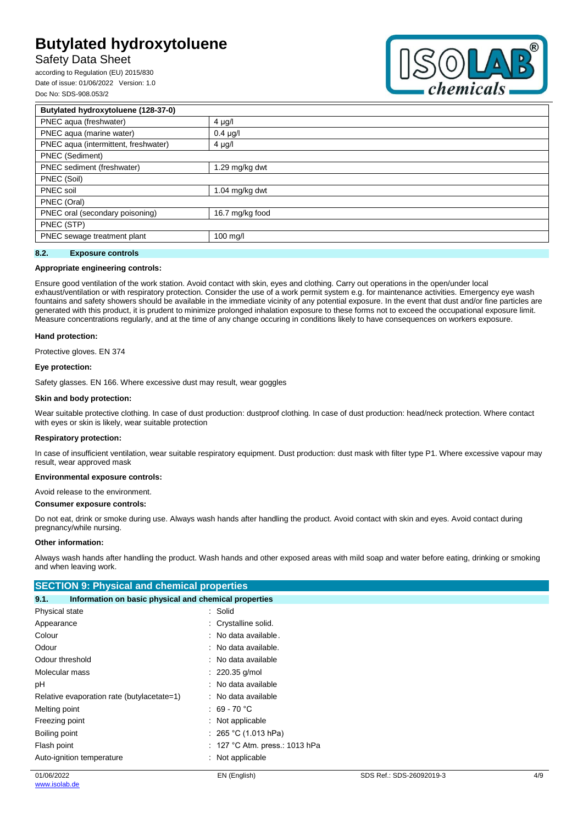# Safety Data Sheet

according to Regulation (EU) 2015/830 Date of issue: 01/06/2022 Version: 1.0 Doc No: SDS-908.053/2



| Butylated hydroxytoluene (128-37-0)  |                  |  |
|--------------------------------------|------------------|--|
| PNEC aqua (freshwater)               | $4 \mu g/l$      |  |
| PNEC aqua (marine water)             | $0.4 \mu g/l$    |  |
| PNEC aqua (intermittent, freshwater) | $4 \mu g/l$      |  |
| PNEC (Sediment)                      |                  |  |
| PNEC sediment (freshwater)           | 1.29 mg/kg dwt   |  |
| PNEC (Soil)                          |                  |  |
| PNEC soil                            | 1.04 $mg/kg$ dwt |  |
| PNEC (Oral)                          |                  |  |
| PNEC oral (secondary poisoning)      | 16.7 mg/kg food  |  |
| PNEC (STP)                           |                  |  |
| PNEC sewage treatment plant          | $100$ mg/        |  |
|                                      |                  |  |

### **8.2. Exposure controls**

#### **Appropriate engineering controls:**

Ensure good ventilation of the work station. Avoid contact with skin, eyes and clothing. Carry out operations in the open/under local exhaust/ventilation or with respiratory protection. Consider the use of a work permit system e.g. for maintenance activities. Emergency eye wash fountains and safety showers should be available in the immediate vicinity of any potential exposure. In the event that dust and/or fine particles are generated with this product, it is prudent to minimize prolonged inhalation exposure to these forms not to exceed the occupational exposure limit. Measure concentrations regularly, and at the time of any change occuring in conditions likely to have consequences on workers exposure.

#### **Hand protection:**

Protective gloves. EN 374

#### **Eye protection:**

Safety glasses. EN 166. Where excessive dust may result, wear goggles

#### **Skin and body protection:**

Wear suitable protective clothing. In case of dust production: dustproof clothing. In case of dust production: head/neck protection. Where contact with eyes or skin is likely, wear suitable protection

#### **Respiratory protection:**

In case of insufficient ventilation, wear suitable respiratory equipment. Dust production: dust mask with filter type P1. Where excessive vapour may result, wear approved mask

### **Environmental exposure controls:**

Avoid release to the environment.

## **Consumer exposure controls:**

Do not eat, drink or smoke during use. Always wash hands after handling the product. Avoid contact with skin and eyes. Avoid contact during pregnancy/while nursing.

#### **Other information:**

Always wash hands after handling the product. Wash hands and other exposed areas with mild soap and water before eating, drinking or smoking and when leaving work.

| <b>SECTION 9: Physical and chemical properties</b>            |                                |  |
|---------------------------------------------------------------|--------------------------------|--|
| Information on basic physical and chemical properties<br>9.1. |                                |  |
| Physical state                                                | : Solid                        |  |
| Appearance                                                    | : Crystalline solid.           |  |
| Colour                                                        | : No data available.           |  |
| Odour                                                         | : No data available.           |  |
| Odour threshold                                               | : No data available            |  |
| Molecular mass                                                | $: 220.35$ g/mol               |  |
| рH                                                            | : No data available            |  |
| Relative evaporation rate (butylacetate=1)                    | : No data available            |  |
| Melting point                                                 | : 69 - 70 $^{\circ}$ C         |  |
| Freezing point                                                | : Not applicable               |  |
| Boiling point                                                 | : 265 °C (1.013 hPa)           |  |
| Flash point                                                   | : 127 °C Atm. press.: 1013 hPa |  |
| Auto-ignition temperature                                     | : Not applicable               |  |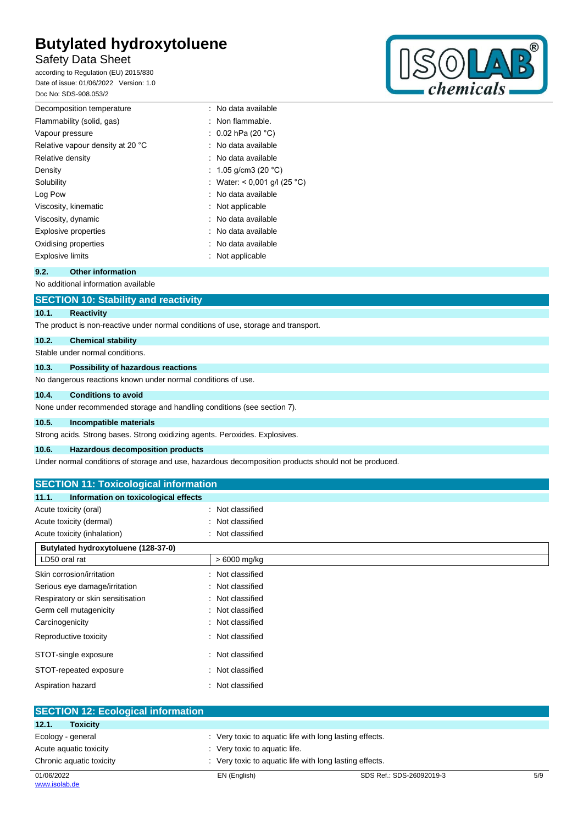# Safety Data Sheet

according to Regulation (EU) 2015/830 Date of issue: 01/06/2022 Version: 1.0 Doc No: SDS-908.053/2



| Decomposition temperature        | : No data available          |
|----------------------------------|------------------------------|
| Flammability (solid, gas)        | : Non flammable.             |
| Vapour pressure                  | : $0.02$ hPa (20 °C)         |
| Relative vapour density at 20 °C | : No data available          |
| Relative density                 | : No data available          |
| Density                          | : 1.05 g/cm3 (20 °C)         |
| Solubility                       | : Water: < 0,001 g/l (25 °C) |
| Log Pow                          | : No data available          |
| Viscosity, kinematic             | : Not applicable             |
| Viscosity, dynamic               | : No data available          |
| <b>Explosive properties</b>      | : No data available          |
| Oxidising properties             | : No data available          |
| <b>Explosive limits</b>          | Not applicable               |
|                                  |                              |

## **9.2. Other information**

No additional information available

| <b>SECTION 10: Stability and reactivity</b> |                                                                                    |
|---------------------------------------------|------------------------------------------------------------------------------------|
| 10.1.                                       | Reactivity                                                                         |
|                                             | The product is non-reactive under normal conditions of use, storage and transport. |
| 10.2.                                       | <b>Chemical stability</b>                                                          |

## Stable under normal conditions.

#### **10.3. Possibility of hazardous reactions**

No dangerous reactions known under normal conditions of use.

# **10.4. Conditions to avoid**

None under recommended storage and handling conditions (see section 7).

## **10.5. Incompatible materials**

Strong acids. Strong bases. Strong oxidizing agents. Peroxides. Explosives.

#### **10.6. Hazardous decomposition products**

Under normal conditions of storage and use, hazardous decomposition products should not be produced.

# **SECTION 11: Toxicological information**

| Information on toxicological effects<br>11.1. |                  |
|-----------------------------------------------|------------------|
| Acute toxicity (oral)                         | : Not classified |
| Acute toxicity (dermal)                       | : Not classified |
| Acute toxicity (inhalation)                   | : Not classified |

| Butylated hydroxytoluene (128-37-0) |                  |
|-------------------------------------|------------------|
| LD50 oral rat                       | > 6000 mg/kg     |
| Skin corrosion/irritation           | : Not classified |
| Serious eye damage/irritation       | : Not classified |
| Respiratory or skin sensitisation   | : Not classified |
| Germ cell mutagenicity              | : Not classified |
| Carcinogenicity                     | : Not classified |
| Reproductive toxicity               | : Not classified |
| STOT-single exposure                | : Not classified |
| STOT-repeated exposure              | : Not classified |
| Aspiration hazard                   | : Not classified |

| <b>SECTION 12: Ecological information</b> |                                                         |                          |     |
|-------------------------------------------|---------------------------------------------------------|--------------------------|-----|
| 12.1.<br><b>Toxicity</b>                  |                                                         |                          |     |
| Ecology - general                         | : Very toxic to aquatic life with long lasting effects. |                          |     |
| Acute aquatic toxicity                    | : Very toxic to aquatic life.                           |                          |     |
| Chronic aquatic toxicity                  | : Very toxic to aquatic life with long lasting effects. |                          |     |
| 01/06/2022                                | EN (English)                                            | SDS Ref.: SDS-26092019-3 | 5/9 |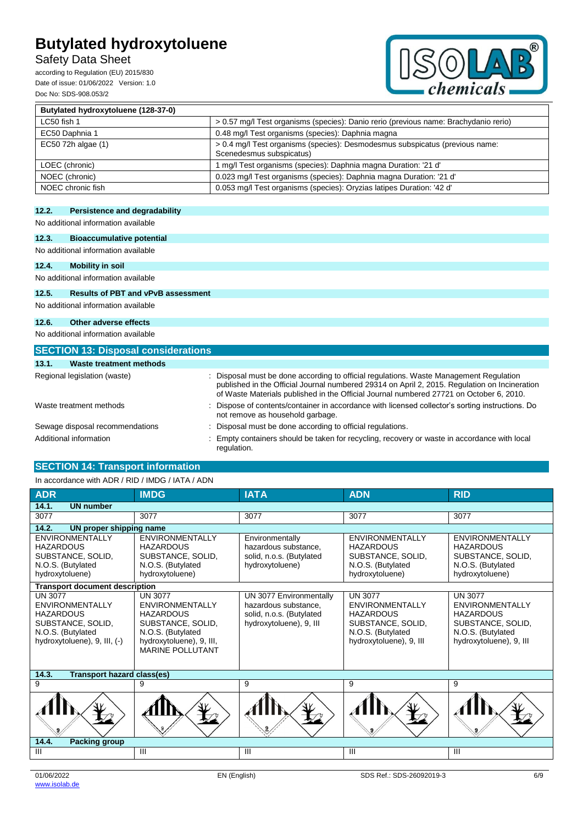# Safety Data Sheet

according to Regulation (EU) 2015/830 Date of issue: 01/06/2022 Version: 1.0 Doc No: SDS-908.053/2



| Butylated hydroxytoluene (128-37-0) |                                                                                                          |
|-------------------------------------|----------------------------------------------------------------------------------------------------------|
| LC50 fish 1                         | > 0.57 mg/l Test organisms (species): Danio rerio (previous name: Brachydanio rerio)                     |
| EC50 Daphnia 1                      | 0.48 mg/l Test organisms (species): Daphnia magna                                                        |
| EC50 72h algae (1)                  | > 0.4 mg/l Test organisms (species): Desmodesmus subspicatus (previous name:<br>Scenedesmus subspicatus) |
| LOEC (chronic)                      | 1 mg/l Test organisms (species): Daphnia magna Duration: '21 d'                                          |
| NOEC (chronic)                      | 0.023 mg/l Test organisms (species): Daphnia magna Duration: '21 d'                                      |
| NOEC chronic fish                   | 0.053 mg/l Test organisms (species): Oryzias latipes Duration: '42 d'                                    |

# **12.2. Persistence and degradability**

No additional information available

# **12.3. Bioaccumulative potential**

No additional information available

**12.4. Mobility in soil**

No additional information available

## **12.5. Results of PBT and vPvB assessment**

No additional information available **12.6. Other adverse effects**

No additional information available

| <b>SECTION 13: Disposal considerations</b> |                                                                                                                                                                                                                                                                                    |
|--------------------------------------------|------------------------------------------------------------------------------------------------------------------------------------------------------------------------------------------------------------------------------------------------------------------------------------|
| Waste treatment methods<br>13.1.           |                                                                                                                                                                                                                                                                                    |
| Regional legislation (waste)               | : Disposal must be done according to official regulations. Waste Management Regulation<br>published in the Official Journal numbered 29314 on April 2, 2015. Regulation on Incineration<br>of Waste Materials published in the Official Journal numbered 27721 on October 6, 2010. |
| Waste treatment methods                    | : Dispose of contents/container in accordance with licensed collector's sorting instructions. Do<br>not remove as household garbage.                                                                                                                                               |
| Sewage disposal recommendations            | : Disposal must be done according to official regulations.                                                                                                                                                                                                                         |
| Additional information                     | Empty containers should be taken for recycling, recovery or waste in accordance with local<br>regulation.                                                                                                                                                                          |

# **SECTION 14: Transport information**

# In accordance with ADR / RID / IMDG / IATA / ADN

| <b>ADR</b>                                                                                                                             | <b>IMDG</b>                                                                                                                                                   | <b>IATA</b>                                                                                            | <b>ADN</b>                                                                                                                        | <b>RID</b>                                                                                                                        |
|----------------------------------------------------------------------------------------------------------------------------------------|---------------------------------------------------------------------------------------------------------------------------------------------------------------|--------------------------------------------------------------------------------------------------------|-----------------------------------------------------------------------------------------------------------------------------------|-----------------------------------------------------------------------------------------------------------------------------------|
| 14.1.<br><b>UN number</b>                                                                                                              |                                                                                                                                                               |                                                                                                        |                                                                                                                                   |                                                                                                                                   |
| 3077                                                                                                                                   | 3077                                                                                                                                                          | 3077                                                                                                   | 3077                                                                                                                              | 3077                                                                                                                              |
| 14.2.<br>UN proper shipping name                                                                                                       |                                                                                                                                                               |                                                                                                        |                                                                                                                                   |                                                                                                                                   |
| <b>ENVIRONMENTALLY</b><br><b>HAZARDOUS</b><br>SUBSTANCE, SOLID,<br>N.O.S. (Butylated<br>hydroxytoluene)                                | <b>ENVIRONMENTALLY</b><br><b>HAZARDOUS</b><br>SUBSTANCE, SOLID,<br>N.O.S. (Butylated<br>hydroxytoluene)                                                       | Environmentally<br>hazardous substance.<br>solid, n.o.s. (Butylated<br>hydroxytoluene)                 | <b>ENVIRONMENTALLY</b><br><b>HAZARDOUS</b><br>SUBSTANCE, SOLID,<br>N.O.S. (Butylated<br>hydroxytoluene)                           | <b>ENVIRONMENTALLY</b><br><b>HAZARDOUS</b><br>SUBSTANCE, SOLID,<br>N.O.S. (Butylated<br>hydroxytoluene)                           |
| <b>Transport document description</b>                                                                                                  |                                                                                                                                                               |                                                                                                        |                                                                                                                                   |                                                                                                                                   |
| <b>UN 3077</b><br><b>ENVIRONMENTALLY</b><br><b>HAZARDOUS</b><br>SUBSTANCE, SOLID,<br>N.O.S. (Butylated<br>hydroxytoluene), 9, III, (-) | <b>UN 3077</b><br><b>ENVIRONMENTALLY</b><br><b>HAZARDOUS</b><br>SUBSTANCE, SOLID,<br>N.O.S. (Butylated<br>hydroxytoluene), 9, III,<br><b>MARINE POLLUTANT</b> | UN 3077 Environmentally<br>hazardous substance.<br>solid, n.o.s. (Butylated<br>hydroxytoluene), 9, III | <b>UN 3077</b><br><b>ENVIRONMENTALLY</b><br><b>HAZARDOUS</b><br>SUBSTANCE, SOLID,<br>N.O.S. (Butylated<br>hydroxytoluene), 9, III | <b>UN 3077</b><br><b>ENVIRONMENTALLY</b><br><b>HAZARDOUS</b><br>SUBSTANCE, SOLID,<br>N.O.S. (Butylated<br>hydroxytoluene), 9, III |
| <b>Transport hazard class(es)</b><br>14.3.                                                                                             |                                                                                                                                                               |                                                                                                        |                                                                                                                                   |                                                                                                                                   |
| 9                                                                                                                                      | 9                                                                                                                                                             | 9                                                                                                      | 9                                                                                                                                 | 9                                                                                                                                 |
|                                                                                                                                        |                                                                                                                                                               |                                                                                                        |                                                                                                                                   |                                                                                                                                   |
| 14.4.<br><b>Packing group</b>                                                                                                          |                                                                                                                                                               |                                                                                                        |                                                                                                                                   |                                                                                                                                   |
| III                                                                                                                                    | Ш                                                                                                                                                             | Ш                                                                                                      | Ш                                                                                                                                 | $\mathbf{III}$                                                                                                                    |
|                                                                                                                                        |                                                                                                                                                               |                                                                                                        |                                                                                                                                   |                                                                                                                                   |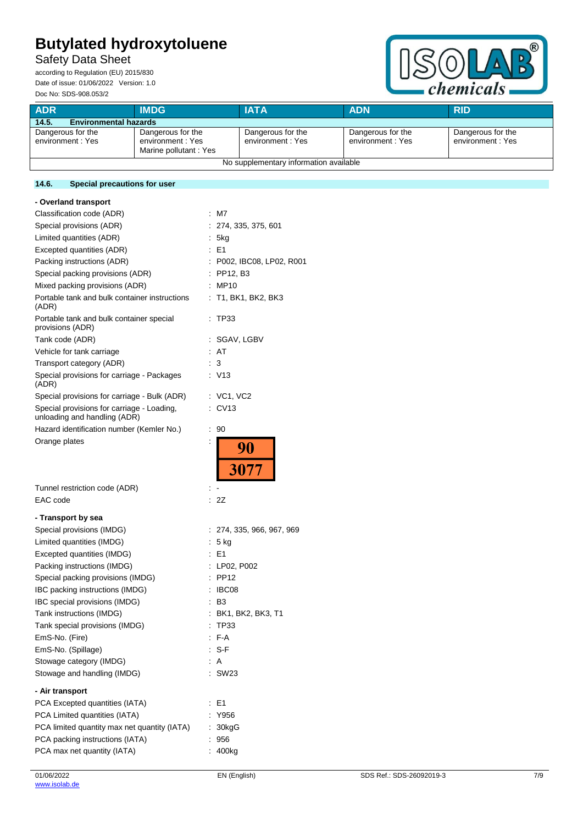# Safety Data Sheet

according to Regulation (EU) 2015/830 Date of issue: 01/06/2022 Version: 1.0 Doc No: SDS-908.053/2



| <b>ADR</b>                             | <b>IMDG</b>                                                     | <b>IATA</b>                           | <b>ADN</b>                            | <b>RID</b>                            |
|----------------------------------------|-----------------------------------------------------------------|---------------------------------------|---------------------------------------|---------------------------------------|
| 14.5.<br><b>Environmental hazards</b>  |                                                                 |                                       |                                       |                                       |
| Dangerous for the<br>environment: Yes  | Dangerous for the<br>environment : Yes<br>Marine pollutant: Yes | Dangerous for the<br>environment: Yes | Dangerous for the<br>environment: Yes | Dangerous for the<br>environment: Yes |
| No supplementary information available |                                                                 |                                       |                                       |                                       |

# **14.6. Special precautions for user**

| - Overland transport                                                       |                               |
|----------------------------------------------------------------------------|-------------------------------|
| Classification code (ADR)                                                  | ÷.<br>M7                      |
| Special provisions (ADR)                                                   | 274, 335, 375, 601            |
| Limited quantities (ADR)                                                   | 5kg                           |
| Excepted quantities (ADR)                                                  | : E1                          |
| Packing instructions (ADR)                                                 | : P002, IBC08, LP02, R001     |
| Special packing provisions (ADR)                                           | : PP12, B3                    |
| Mixed packing provisions (ADR)                                             | : MP10                        |
| Portable tank and bulk container instructions<br>(ADR)                     | : T1, BK1, BK2, BK3           |
| Portable tank and bulk container special<br>provisions (ADR)               | TP33                          |
| Tank code (ADR)                                                            | : SGAV, LGBV                  |
| Vehicle for tank carriage                                                  | : AT                          |
| Transport category (ADR)                                                   | 3                             |
| Special provisions for carriage - Packages<br>(ADR)                        | V13                           |
| Special provisions for carriage - Bulk (ADR)                               | $\therefore$ VC1, VC2         |
| Special provisions for carriage - Loading,<br>unloading and handling (ADR) | ÷.<br>CV <sub>13</sub>        |
| Hazard identification number (Kemler No.)                                  | 90<br>t                       |
| Orange plates                                                              | 90<br>3077                    |
|                                                                            |                               |
|                                                                            |                               |
| Tunnel restriction code (ADR)                                              |                               |
| EAC code                                                                   | 2Z                            |
| - Transport by sea                                                         |                               |
| Special provisions (IMDG)                                                  | 274, 335, 966, 967, 969<br>t. |
| Limited quantities (IMDG)                                                  | 5 kg<br>÷.                    |
| Excepted quantities (IMDG)                                                 | : E1                          |
| Packing instructions (IMDG)                                                | : LP02, P002                  |
| Special packing provisions (IMDG)                                          | : PP12                        |
| IBC packing instructions (IMDG)                                            | IBC08                         |
| IBC special provisions (IMDG)                                              | B <sub>3</sub>                |
| Tank instructions (IMDG)                                                   | BK1, BK2, BK3, T1             |
| Tank special provisions (IMDG)                                             | <b>TP33</b>                   |
|                                                                            | F-A                           |
| EmS-No. (Fire)                                                             | : S-F                         |
| EmS-No. (Spillage)                                                         | : A                           |
| Stowage category (IMDG)<br>Stowage and handling (IMDG)                     | : SW23                        |
|                                                                            |                               |
| - Air transport                                                            |                               |
| PCA Excepted quantities (IATA)                                             | E <sub>1</sub>                |
| PCA Limited quantities (IATA)                                              | Y956                          |
| PCA limited quantity max net quantity (IATA)                               | : 30kgG                       |
| PCA packing instructions (IATA)<br>PCA max net quantity (IATA)             | : 956<br>: 400kg              |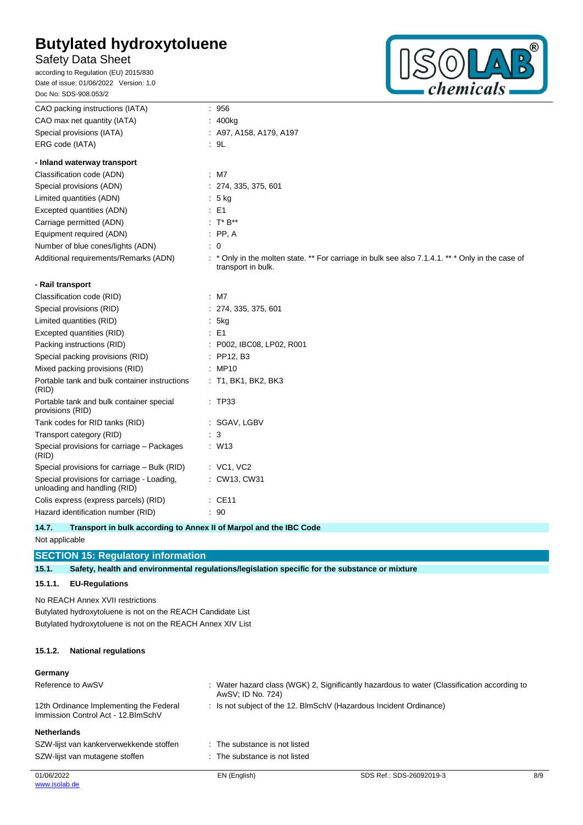# Safety Data Sheet

according to Regulation (EU) 2015/830 Date of issue: 01/06/2022 Version: 1.0 Doc No: SDS-908.053/2



| CAO packing instructions (IATA)                                            | : 956                                                                                                                  |
|----------------------------------------------------------------------------|------------------------------------------------------------------------------------------------------------------------|
| CAO max net quantity (IATA)                                                | : 400kg                                                                                                                |
| Special provisions (IATA)                                                  | : A97, A158, A179, A197                                                                                                |
| ERG code (IATA)                                                            | : 9L                                                                                                                   |
| - Inland waterway transport                                                |                                                                                                                        |
| Classification code (ADN)                                                  | $:$ M7                                                                                                                 |
| Special provisions (ADN)                                                   | : 274, 335, 375, 601                                                                                                   |
| Limited quantities (ADN)                                                   | $: 5$ kg                                                                                                               |
| Excepted quantities (ADN)                                                  | $\therefore$ E1                                                                                                        |
| Carriage permitted (ADN)                                                   | : $T^* B^{**}$                                                                                                         |
| Equipment required (ADN)                                                   | $:$ PP, A                                                                                                              |
| Number of blue cones/lights (ADN)                                          | $\therefore$ 0                                                                                                         |
| Additional requirements/Remarks (ADN)                                      | : * Only in the molten state. ** For carriage in bulk see also 7.1.4.1. ** * Only in the case of<br>transport in bulk. |
| - Rail transport                                                           |                                                                                                                        |
| Classification code (RID)                                                  | $:$ M7                                                                                                                 |
| Special provisions (RID)                                                   | : 274, 335, 375, 601                                                                                                   |
| Limited quantities (RID)                                                   | .5kg                                                                                                                   |
| Excepted quantities (RID)                                                  | $\therefore$ E1                                                                                                        |
| Packing instructions (RID)                                                 | : P002, IBC08, LP02, R001                                                                                              |
| Special packing provisions (RID)                                           | $:$ PP12, B3                                                                                                           |
| Mixed packing provisions (RID)                                             | : MP10                                                                                                                 |
| Portable tank and bulk container instructions<br>(RID)                     | $:$ T1, BK1, BK2, BK3                                                                                                  |
| Portable tank and bulk container special<br>provisions (RID)               | : TP33                                                                                                                 |
| Tank codes for RID tanks (RID)                                             | : SGAV, LGBV                                                                                                           |
| Transport category (RID)                                                   | $\therefore$ 3                                                                                                         |
| Special provisions for carriage - Packages<br>(RID)                        | $:$ W13                                                                                                                |
| Special provisions for carriage - Bulk (RID)                               | $:$ VC1, VC2                                                                                                           |
| Special provisions for carriage - Loading,<br>unloading and handling (RID) | : CW13, CW31                                                                                                           |
| Colis express (express parcels) (RID)                                      | $\therefore$ CE11                                                                                                      |
| Hazard identification number (RID)                                         | : 90                                                                                                                   |

**14.7. Transport in bulk according to Annex II of Marpol and the IBC Code** Not applicable

# **SECTION 15: Regulatory information**

**15.1. Safety, health and environmental regulations/legislation specific for the substance or mixture**

# **15.1.1. EU-Regulations**

No REACH Annex XVII restrictions Butylated hydroxytoluene is not on the REACH Candidate List Butylated hydroxytoluene is not on the REACH Annex XIV List

## **15.1.2. National regulations**

## **Germany**

| Reference to AwSV                                                              | : Water hazard class (WGK) 2, Significantly hazardous to water (Classification according to<br>AwSV; ID No. 724) |                                                                    |     |  |
|--------------------------------------------------------------------------------|------------------------------------------------------------------------------------------------------------------|--------------------------------------------------------------------|-----|--|
| 12th Ordinance Implementing the Federal<br>Immission Control Act - 12. BlmSchV |                                                                                                                  | : Is not subject of the 12. BlmSchV (Hazardous Incident Ordinance) |     |  |
| <b>Netherlands</b>                                                             |                                                                                                                  |                                                                    |     |  |
| SZW-lijst van kankerverwekkende stoffen                                        | : The substance is not listed                                                                                    |                                                                    |     |  |
| SZW-lijst van mutagene stoffen                                                 | : The substance is not listed                                                                                    |                                                                    |     |  |
| 01/06/2022                                                                     | EN (English)                                                                                                     | SDS Ref.: SDS-26092019-3                                           | 8/9 |  |